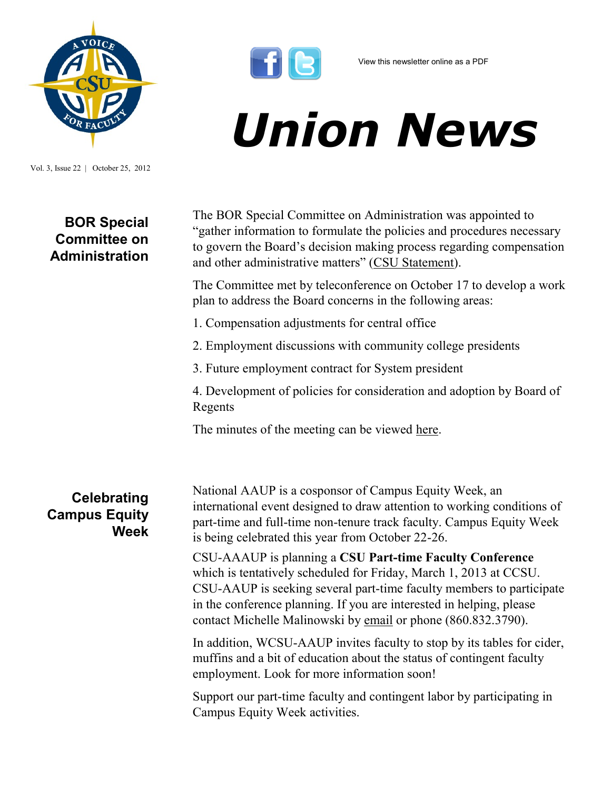

Vol. 3, Issue 22 | October 25, 2012

## **BOR Special Committee on Administration**



## *Union News*

The BOR Special Committee on Administration was appointed to "gather information to formulate the policies and procedures necessary to govern the Board's decision making process regarding compensation and other administrative matters" ([CSU Statement\)](http://www.ctregents.org/newsroom/board_of_regents_recommends_philip_e._austin_to_gov._malloy_as_interim_pres).

The Committee met by teleconference on October 17 to develop a work plan to address the Board concerns in the following areas:

- 1. Compensation adjustments for central office
- 2. Employment discussions with community college presidents
- 3. Future employment contract for System president

4. Development of policies for consideration and adoption by Board of Regents

The minutes of the meeting can be viewed [here.](http://www.ctregents.org/images/uploads/SCOA-Minutes-10-17-2012.pdf)

**Celebrating Campus Equity Week** National AAUP is a cosponsor of Campus Equity Week, an international event designed to draw attention to working conditions of part-time and full-time non-tenure track faculty. Campus Equity Week is being celebrated this year from October 22-26.

CSU-AAAUP is planning a **CSU Part-time Faculty Conference**  which is tentatively scheduled for Friday, March 1, 2013 at CCSU. CSU-AAUP is seeking several part-time faculty members to participate in the conference planning. If you are interested in helping, please contact Michelle Malinowski by [email](mailto:malinowskim@ccsu.edu?subject=CSU%20Part-time%20Conference) or phone (860.832.3790).

In addition, WCSU-AAUP invites faculty to stop by its tables for cider, muffins and a bit of education about the status of contingent faculty employment. Look for more information soon!

Support our part-time faculty and contingent labor by participating in Campus Equity Week activities.